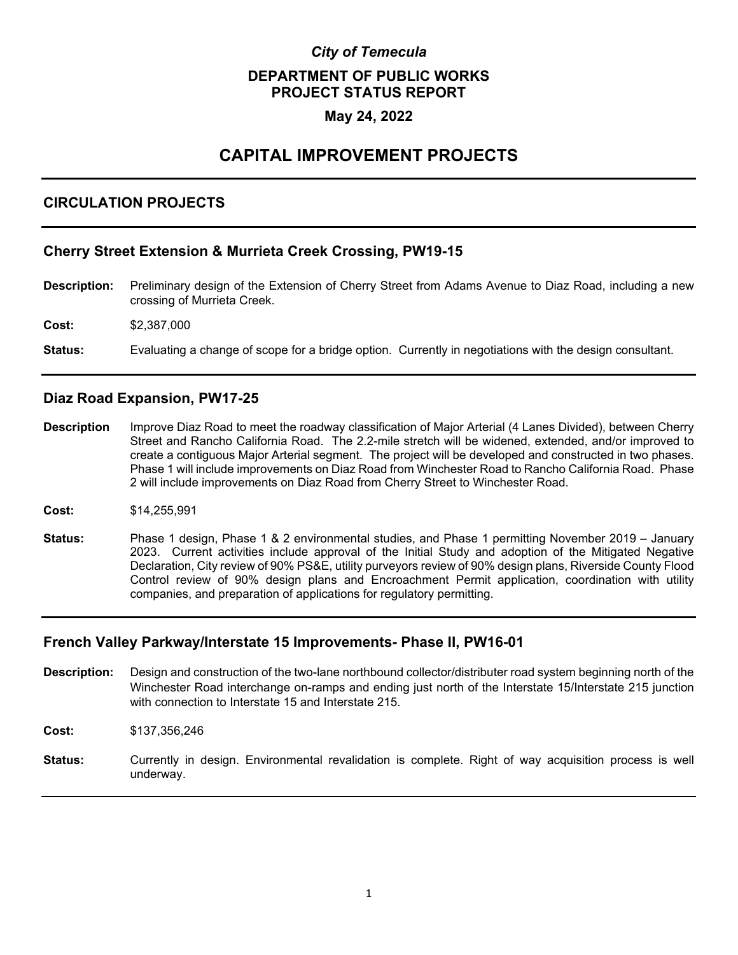# *City of Temecula*  **DEPARTMENT OF PUBLIC WORKS PROJECT STATUS REPORT**

## **May 24, 2022**

## **CAPITAL IMPROVEMENT PROJECTS**

## **CIRCULATION PROJECTS**

## **Cherry Street Extension & Murrieta Creek Crossing, PW19-15**

- **Description:** Preliminary design of the Extension of Cherry Street from Adams Avenue to Diaz Road, including a new crossing of Murrieta Creek.
- **Cost:** \$2,387,000
- **Status:** Evaluating a change of scope for a bridge option. Currently in negotiations with the design consultant.

## **Diaz Road Expansion, PW17-25**

- **Description** Improve Diaz Road to meet the roadway classification of Major Arterial (4 Lanes Divided), between Cherry Street and Rancho California Road. The 2.2-mile stretch will be widened, extended, and/or improved to create a contiguous Major Arterial segment. The project will be developed and constructed in two phases. Phase 1 will include improvements on Diaz Road from Winchester Road to Rancho California Road. Phase 2 will include improvements on Diaz Road from Cherry Street to Winchester Road.
- **Cost:** \$14,255,991
- **Status:** Phase 1 design, Phase 1 & 2 environmental studies, and Phase 1 permitting November 2019 January 2023. Current activities include approval of the Initial Study and adoption of the Mitigated Negative Declaration, City review of 90% PS&E, utility purveyors review of 90% design plans, Riverside County Flood Control review of 90% design plans and Encroachment Permit application, coordination with utility companies, and preparation of applications for regulatory permitting.

## **French Valley Parkway/Interstate 15 Improvements- Phase II, PW16-01**

- **Description:** Design and construction of the two-lane northbound collector/distributer road system beginning north of the Winchester Road interchange on-ramps and ending just north of the Interstate 15/Interstate 215 junction with connection to Interstate 15 and Interstate 215.
- **Cost:** \$137,356,246
- **Status:** Currently in design. Environmental revalidation is complete. Right of way acquisition process is well underway.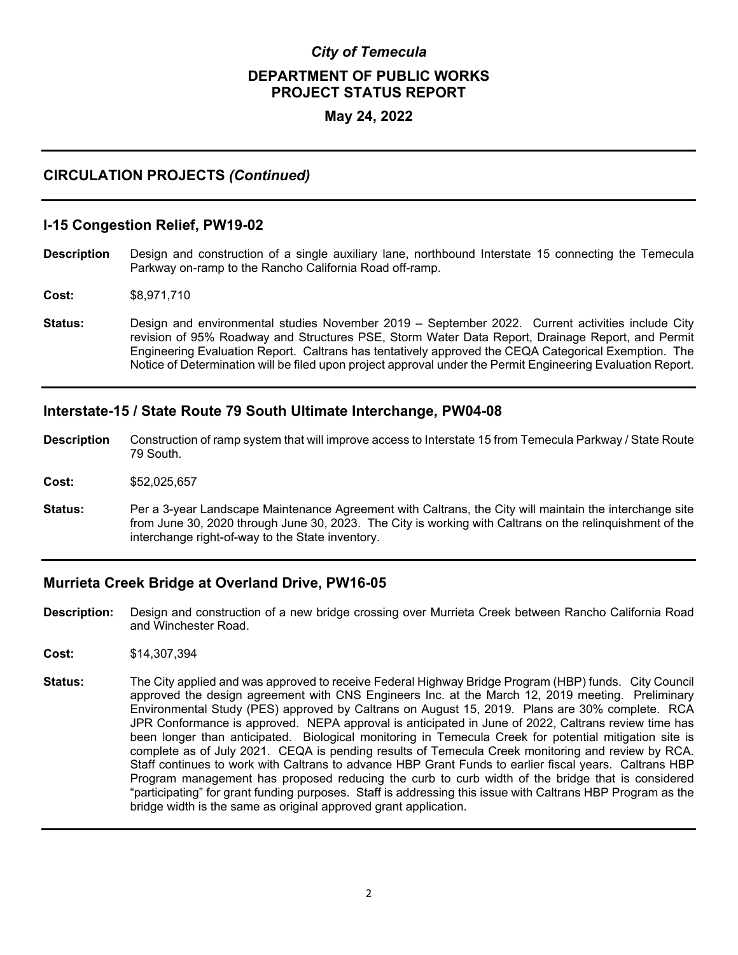# *City of Temecula*  **DEPARTMENT OF PUBLIC WORKS PROJECT STATUS REPORT**

## **May 24, 2022**

## **CIRCULATION PROJECTS** *(Continued)*

#### **I-15 Congestion Relief, PW19-02**

- **Description** Design and construction of a single auxiliary lane, northbound Interstate 15 connecting the Temecula Parkway on-ramp to the Rancho California Road off-ramp.
- **Cost:** \$8,971,710
- **Status:** Design and environmental studies November 2019 September 2022. Current activities include City revision of 95% Roadway and Structures PSE, Storm Water Data Report, Drainage Report, and Permit Engineering Evaluation Report. Caltrans has tentatively approved the CEQA Categorical Exemption. The Notice of Determination will be filed upon project approval under the Permit Engineering Evaluation Report.

#### **Interstate-15 / State Route 79 South Ultimate Interchange, PW04-08**

- **Description** Construction of ramp system that will improve access to Interstate 15 from Temecula Parkway / State Route 79 South.
- **Cost:** \$52,025,657
- **Status:** Per a 3-year Landscape Maintenance Agreement with Caltrans, the City will maintain the interchange site from June 30, 2020 through June 30, 2023. The City is working with Caltrans on the relinquishment of the interchange right-of-way to the State inventory.

#### **Murrieta Creek Bridge at Overland Drive, PW16-05**

- **Description:** Design and construction of a new bridge crossing over Murrieta Creek between Rancho California Road and Winchester Road.
- **Cost:** \$14,307,394
- **Status:** The City applied and was approved to receive Federal Highway Bridge Program (HBP) funds. City Council approved the design agreement with CNS Engineers Inc. at the March 12, 2019 meeting. Preliminary Environmental Study (PES) approved by Caltrans on August 15, 2019. Plans are 30% complete. RCA JPR Conformance is approved. NEPA approval is anticipated in June of 2022, Caltrans review time has been longer than anticipated. Biological monitoring in Temecula Creek for potential mitigation site is complete as of July 2021. CEQA is pending results of Temecula Creek monitoring and review by RCA. Staff continues to work with Caltrans to advance HBP Grant Funds to earlier fiscal years. Caltrans HBP Program management has proposed reducing the curb to curb width of the bridge that is considered "participating" for grant funding purposes. Staff is addressing this issue with Caltrans HBP Program as the bridge width is the same as original approved grant application.